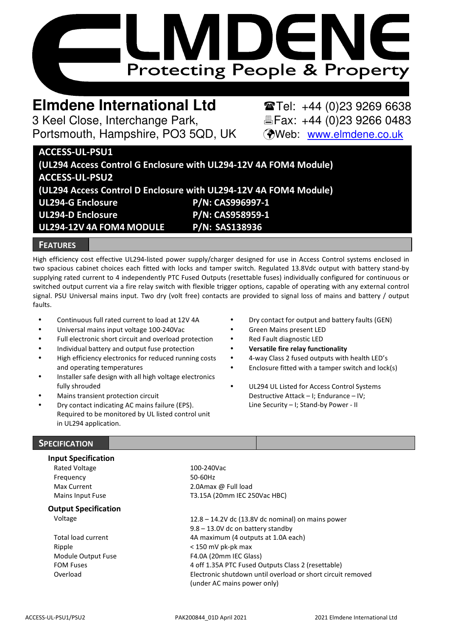

# **Elmdene International Ltd** Tel: +44 (0)23 9269 6638

3 Keel Close, Interchange Park, Fax: +44 (0)23 9266 0483 Portsmouth, Hampshire, PO3 5QD, UK (Web: www.elmdene.co.uk

# **ACCESS-UL-PSU1 (UL294 Access Control G Enclosure with UL294-12V 4A FOM4 Module) ACCESS-UL-PSU2 (UL294 Access Control D Enclosure with UL294-12V 4A FOM4 Module) UL294-G Enclosure P/N: CAS996997-1 UL294-D Enclosure P/N: CAS958959-1 UL294-12V 4A FOM4 MODULE P/N: SAS138936**

## **FEATURES**

High efficiency cost effective UL294-listed power supply/charger designed for use in Access Control systems enclosed in two spacious cabinet choices each fitted with locks and tamper switch. Regulated 13.8Vdc output with battery stand-by supplying rated current to 4 independently PTC Fused Outputs (resettable fuses) individually configured for continuous or switched output current via a fire relay switch with flexible trigger options, capable of operating with any external control signal. PSU Universal mains input. Two dry (volt free) contacts are provided to signal loss of mains and battery / output faults.

- Continuous full rated current to load at 12V 4A
- Universal mains input voltage 100-240Vac
- Full electronic short circuit and overload protection
- Individual battery and output fuse protection
- High efficiency electronics for reduced running costs and operating temperatures
- Installer safe design with all high voltage electronics fully shrouded
- Mains transient protection circuit
- Dry contact indicating AC mains failure (EPS). Required to be monitored by UL listed control unit in UL294 application.
- Dry contact for output and battery faults (GEN)
- Green Mains present LED
- Red Fault diagnostic LED
- **Versatile fire relay functionality**
- 4-way Class 2 fused outputs with health LED's
- Enclosure fitted with a tamper switch and lock(s)
- UL294 UL Listed for Access Control Systems Destructive Attack – I; Endurance – IV; Line Security – I; Stand-by Power - II

# **SPECIFICATION**

#### **Input Specification**

Rated Voltage 100-240Vac Frequency 50-60Hz

Max Current 2.0Amax @ Full load Mains Input Fuse T3.15A (20mm IEC 250Vac HBC)

**Output Specification** 

Ripple < 150 mV pk-pk max Module Output Fuse FOM Fuses

Voltage 12.8 – 14.2V dc (13.8V dc nominal) on mains power 9.8 – 13.0V dc on battery standby Total load current 1.0A each) 4A maximum (4 outputs at 1.0A each) F4.0A (20mm IEC Glass) 4 off 1.35A PTC Fused Outputs Class 2 (resettable) Overload Electronic shutdown until overload or short circuit removed (under AC mains power only)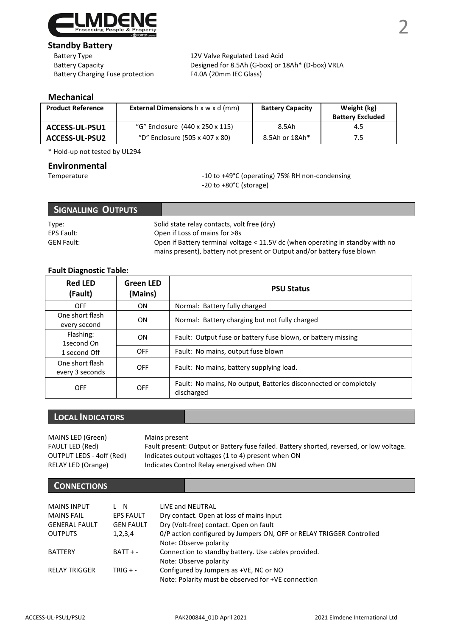

# **Standby Battery**<br>Battery Type

Battery Charging Fuse protection F4.0A (20mm IEC Glass)

12V Valve Regulated Lead Acid Battery Capacity Designed for 8.5Ah (G-box) or 18Ah\* (D-box) VRLA

# **Mechanical**

| <b>Product Reference</b> | <b>External Dimensions</b> h x w x d (mm) | <b>Battery Capacity</b> | Weight (kg)<br><b>Battery Excluded</b> |
|--------------------------|-------------------------------------------|-------------------------|----------------------------------------|
| <b>ACCESS-UL-PSU1</b>    | "G" Enclosure (440 x 250 x 115)           | 8.5Ah                   | 4.5                                    |
| <b>ACCESS-UL-PSU2</b>    | "D" Enclosure (505 x 407 x 80)            | 8.5Ah or 18Ah*          |                                        |

\* Hold-up not tested by UL294

# **Environmental**

Temperature  $-10$  to +49°C (operating) 75% RH non-condensing -20 to +80°C (storage)

| Signalling Outputs |                                                                                                                                                           |
|--------------------|-----------------------------------------------------------------------------------------------------------------------------------------------------------|
| Type:              | Solid state relay contacts, volt free (dry)                                                                                                               |
| EPS Fault:         | Open if Loss of mains for >8s                                                                                                                             |
| <b>GEN Fault:</b>  | Open if Battery terminal voltage < 11.5V dc (when operating in standby with no<br>mains present), battery not present or Output and/or battery fuse blown |

# **Fault Diagnostic Table:**

| <b>Red LED</b><br>(Fault)          | <b>Green LED</b><br>(Mains) | <b>PSU Status</b>                                                              |  |
|------------------------------------|-----------------------------|--------------------------------------------------------------------------------|--|
| OFF                                | ON                          | Normal: Battery fully charged                                                  |  |
| One short flash<br>every second    | <b>ON</b>                   | Normal: Battery charging but not fully charged                                 |  |
| Flashing:<br>1second On            | <b>ON</b>                   | Fault: Output fuse or battery fuse blown, or battery missing                   |  |
| 1 second Off                       | <b>OFF</b>                  | Fault: No mains, output fuse blown                                             |  |
| One short flash<br>every 3 seconds | OFF                         | Fault: No mains, battery supplying load.                                       |  |
| OFF                                | <b>OFF</b>                  | Fault: No mains, No output, Batteries disconnected or completely<br>discharged |  |

# **LOCAL INDICATORS**

| MAINS LED (Green)        | Mains present                                                                            |
|--------------------------|------------------------------------------------------------------------------------------|
| FAULT LED (Red)          | Fault present: Output or Battery fuse failed. Battery shorted, reversed, or low voltage. |
| OUTPUT LEDS - 4off (Red) | Indicates output voltages (1 to 4) present when ON                                       |
| RELAY LED (Orange)       | Indicates Control Relay energised when ON                                                |

# **CONNECTIONS**

| <b>MAINS INPUT</b>   | . N              | LIVE and NEUTRAL                                                                               |
|----------------------|------------------|------------------------------------------------------------------------------------------------|
| <b>MAINS FAIL</b>    | <b>EPS FAULT</b> | Dry contact. Open at loss of mains input                                                       |
| <b>GENERAL FAULT</b> | <b>GEN FAULT</b> | Dry (Volt-free) contact. Open on fault                                                         |
| <b>OUTPUTS</b>       | 1,2,3,4          | 0/P action configured by Jumpers ON, OFF or RELAY TRIGGER Controlled<br>Note: Observe polarity |
| <b>BATTERY</b>       | $BATT + -$       | Connection to standby battery. Use cables provided.<br>Note: Observe polarity                  |
| <b>RELAY TRIGGER</b> | $TRIG + -$       | Configured by Jumpers as +VE, NC or NO<br>Note: Polarity must be observed for +VE connection   |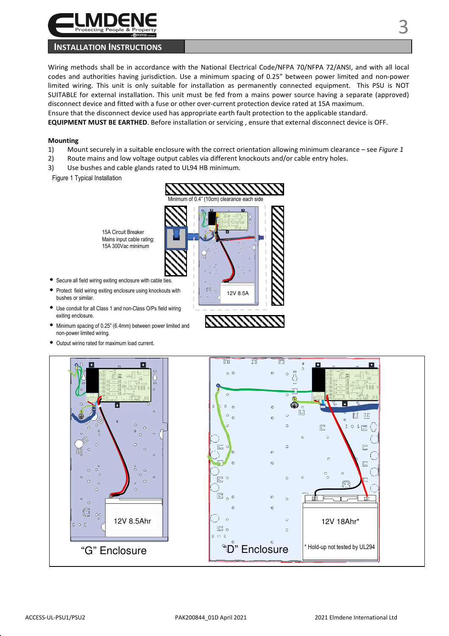

## **INSTALLATION INSTRUCTIONS**

Wiring methods shall be in accordance with the National Electrical Code/NFPA 70/NFPA 72/ANSI, and with all local codes and authorities having jurisdiction. Use a minimum spacing of 0.25" between power limited and non-power limited wiring. This unit is only suitable for installation as permanently connected equipment. This PSU is NOT SUITABLE for external installation. This unit must be fed from a mains power source having a separate (approved) disconnect device and fitted with a fuse or other over-current protection device rated at 15A maximum. Ensure that the disconnect device used has appropriate earth fault protection to the applicable standard. **EQUIPMENT MUST BE EARTHED**. Before installation or servicing , ensure that external disconnect device is OFF.

#### **Mounting**

- 1) Mount securely in a suitable enclosure with the correct orientation allowing minimum clearance see *Figure 1*
- 2) Route mains and low voltage output cables via different knockouts and/or cable entry holes.
- 3) Use bushes and cable glands rated to UL94 HB minimum.

Figure 1 Typical Installation

15A Circuit Breaker Mains input cable rating: 15A 300Vac minimum

- Secure all field wiring exiting enclosure with cable ties.
- Protect field wiring exiting enclosure using knockouts with bushes or similar.
- Use conduit for all Class 1 and non-Class O/Ps field wiring exiting enclosure.
- Minimum spacing of 0.25" (6.4mm) between power limited and non-power limited wiring.
- Output wiring rated for maximum load current.



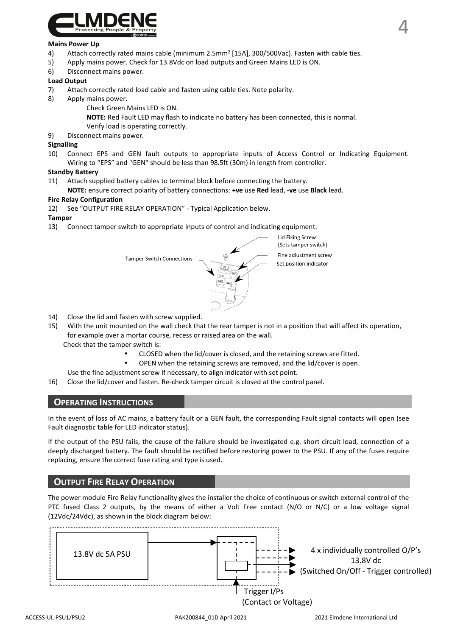

#### **Mains Power Up**

- 4) Attach correctly rated mains cable (minimum 2.5mm<sup>2</sup> [15A], 300/500Vac). Fasten with cable ties.
- 5) Apply mains power. Check for 13.8Vdc on load outputs and Green Mains LED is ON.
- 6) Disconnect mains power.

#### **Load Output**

- 7) Attach correctly rated load cable and fasten using cable ties. Note polarity.
- 8) Apply mains power.
	- Check Green Mains LED is ON.
	- **NOTE:** Red Fault LED may flash to indicate no battery has been connected, this is normal.
	- Verify load is operating correctly.
- 9) Disconnect mains power.

#### **Signalling**

10) Connect EPS and GEN fault outputs to appropriate inputs of Access Control or Indicating Equipment. Wiring to "EPS" and "GEN" should be less than 98.5ft (30m) in length from controller.

#### **Standby Battery**

11) Attach supplied battery cables to terminal block before connecting the battery.

#### **NOTE:** ensure correct polarity of battery connections: **+ve** use **Red** lead, **-ve** use **Black** lead.

#### **Fire Relay Configuration**

12) See "OUTPUT FIRE RELAY OPERATION" - Typical Application below.

#### **Tamper**

13) Connect tamper switch to appropriate inputs of control and indicating equipment.



**Lid Fixing Screw** (Sets tamper switch) Fine adjustment screw Set position indicator

- 14) Close the lid and fasten with screw supplied.
- 15) With the unit mounted on the wall check that the rear tamper is not in a position that will affect its operation, for example over a mortar course, recess or raised area on the wall. Check that the tamper switch is:
	- CLOSED when the lid/cover is closed, and the retaining screws are fitted.
	- OPEN when the retaining screws are removed, and the lid/cover is open.
	- Use the fine adjustment screw if necessary, to align indicator with set point.
- 16) Close the lid/cover and fasten. Re-check tamper circuit is closed at the control panel.

### **OPERATING INSTRUCTIONS**

In the event of loss of AC mains, a battery fault or a GEN fault, the corresponding Fault signal contacts will open (see Fault diagnostic table for LED indicator status).

If the output of the PSU fails, the cause of the failure should be investigated e.g. short circuit load, connection of a deeply discharged battery. The fault should be rectified before restoring power to the PSU. If any of the fuses require replacing, ensure the correct fuse rating and type is used.

# **OUTPUT FIRE RELAY OPERATION**

The power module Fire Relay functionality gives the installer the choice of continuous or switch external control of the PTC fused Class 2 outputs, by the means of either a Volt Free contact (N/O or N/C) or a low voltage signal (12Vdc/24Vdc), as shown in the block diagram below:

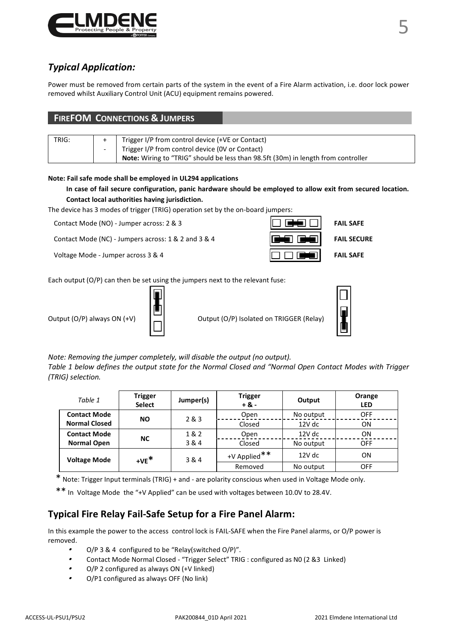

# *Typical Application:*

Power must be removed from certain parts of the system in the event of a Fire Alarm activation, i.e. door lock power removed whilst Auxiliary Control Unit (ACU) equipment remains powered.

| <b>FIREFOM CONNECTIONS &amp; JUMPERS</b> |                          |                                                                                   |  |
|------------------------------------------|--------------------------|-----------------------------------------------------------------------------------|--|
|                                          |                          |                                                                                   |  |
| TRIG:                                    |                          | Trigger I/P from control device (+VE or Contact)                                  |  |
|                                          | $\overline{\phantom{a}}$ | Trigger I/P from control device (OV or Contact)                                   |  |
|                                          |                          | Note: Wiring to "TRIG" should be less than 98.5ft (30m) in length from controller |  |

#### **Note: Fail safe mode shall be employed in UL294 applications**

**In case of fail secure configuration, panic hardware should be employed to allow exit from secured location. Contact local authorities having jurisdiction.** 

The device has 3 modes of trigger (TRIG) operation set by the on-board jumpers:

Contact Mode (NO) - Jumper across: 2 & 3 **FAIL SAFE FAIL SAFE** 

Contact Mode (NC) - Jumpers across: 1 & 2 and 3 & 4 **FAIL SECURE FAIL SECURE** 



Each output (O/P) can then be set using the jumpers next to the relevant fuse:



Output (O/P) always ON  $(+V)$   $\Box$  Output (O/P) Isolated on TRIGGER (Relay)



*Note: Removing the jumper completely, will disable the output (no output). Table 1 below defines the output state for the Normal Closed and "Normal Open Contact Modes with Trigger (TRIG) selection.*

| Table 1              | <b>Trigger</b><br><b>Select</b> | Jumper(s) | <b>Trigger</b><br>$+8 -$ | Output    | Orange<br><b>LED</b> |
|----------------------|---------------------------------|-----------|--------------------------|-----------|----------------------|
| <b>Contact Mode</b>  | NΟ                              | 2 & 3     | Open                     | No output | OFF                  |
| <b>Normal Closed</b> |                                 |           | Closed                   | 12V dc    | ON                   |
| <b>Contact Mode</b>  | NC                              | 1&2       | Open                     | 12V dc    | ON                   |
| <b>Normal Open</b>   |                                 | 3 & 4     | Closed                   | No output | OFF                  |
| <b>Voltage Mode</b>  | $+VE^*$                         | 3 & 4     | +V Applied**             | $12V$ dc  | ON                   |
|                      |                                 |           | Removed                  | No output | OFF                  |

\* Note: Trigger Input terminals (TRIG) + and - are polarity conscious when used in Voltage Mode only.

\*\* In Voltage Mode the "+V Applied" can be used with voltages between 10.0V to 28.4V.

# **Typical Fire Relay Fail-Safe Setup for a Fire Panel Alarm:**

In this example the power to the access control lock is FAIL-SAFE when the Fire Panel alarms, or O/P power is removed.

- •O/P 3 & 4 configured to be "Relay(switched O/P)".
- •Contact Mode Normal Closed - "Trigger Select" TRIG : configured as N0 (2 &3 Linked)
- •O/P 2 configured as always ON (+V linked)
- •O/P1 configured as always OFF (No link)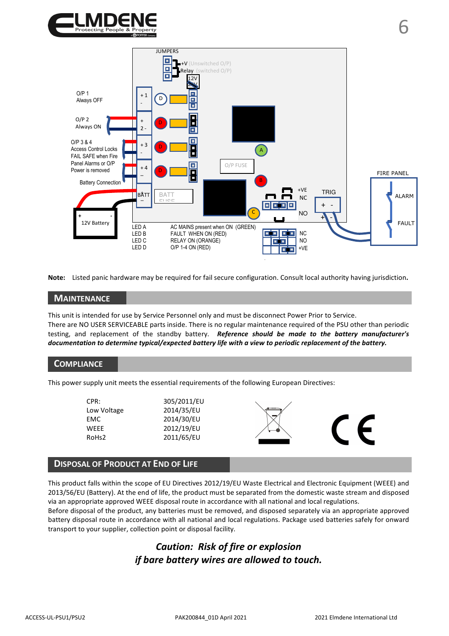



**Note:** Listed panic hardware may be required for fail secure configuration. Consult local authority having jurisdiction**.**

#### **MAINTENANCE**

This unit is intended for use by Service Personnel only and must be disconnect Power Prior to Service. There are NO USER SERVICEABLE parts inside. There is no regular maintenance required of the PSU other than periodic testing, and replacement of the standby battery. *Reference should be made to the battery manufacturer's documentation to determine typical/expected battery life with a view to periodic replacement of the battery.* 

### **COMPLIANCE**

This power supply unit meets the essential requirements of the following European Directives:

| CPR:              | 305/2011/EU |   |  |
|-------------------|-------------|---|--|
| Low Voltage       | 2014/35/EU  |   |  |
| <b>EMC</b>        | 2014/30/EU  |   |  |
| WEEE              | 2012/19/EU  | ◉ |  |
| RoH <sub>s2</sub> | 2011/65/EU  |   |  |
|                   |             |   |  |

## **DISPOSAL OF PRODUCT AT END OF LIFE**

This product falls within the scope of EU Directives 2012/19/EU Waste Electrical and Electronic Equipment (WEEE) and 2013/56/EU (Battery). At the end of life, the product must be separated from the domestic waste stream and disposed via an appropriate approved WEEE disposal route in accordance with all national and local regulations.

Before disposal of the product, any batteries must be removed, and disposed separately via an appropriate approved battery disposal route in accordance with all national and local regulations. Package used batteries safely for onward transport to your supplier, collection point or disposal facility.

# *Caution: Risk of fire or explosion if bare battery wires are allowed to touch.*